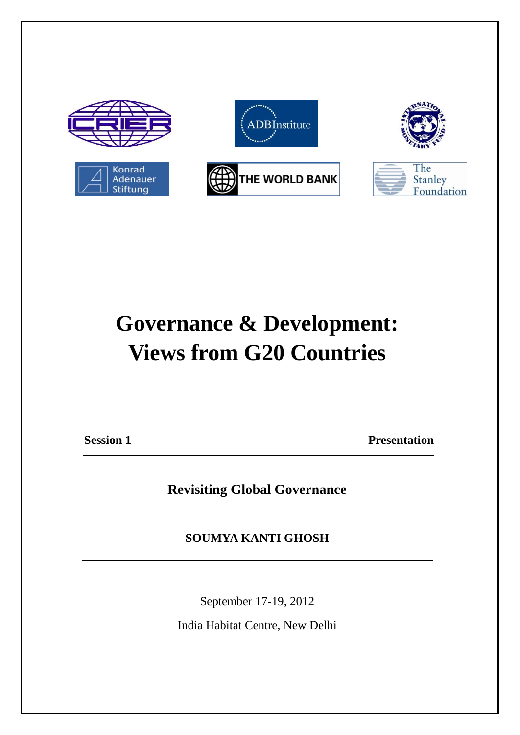

# **Governance & Development: Views from G20 Countries**

**Session 1 Presentation** 

**Revisiting Global Governance**

**SOUMYA KANTI GHOSH** 

September 17-19, 2012

India Habitat Centre, New Delhi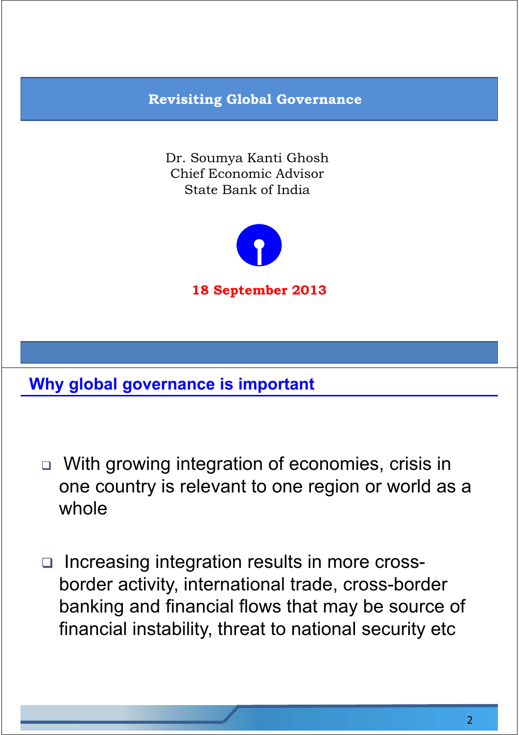# **Revisiting Global Governance**

Dr. Soumya Kanti Ghosh Chief Economic Advisor State Bank of India



#### **Why global governance is important**

- □ With growing integration of economies, crisis in one country is relevant to one region or world as a whole
- Increasing integration results in more crossborder activity, international trade, cross-border banking and financial flows that may be source of financial instability, threat to national security etc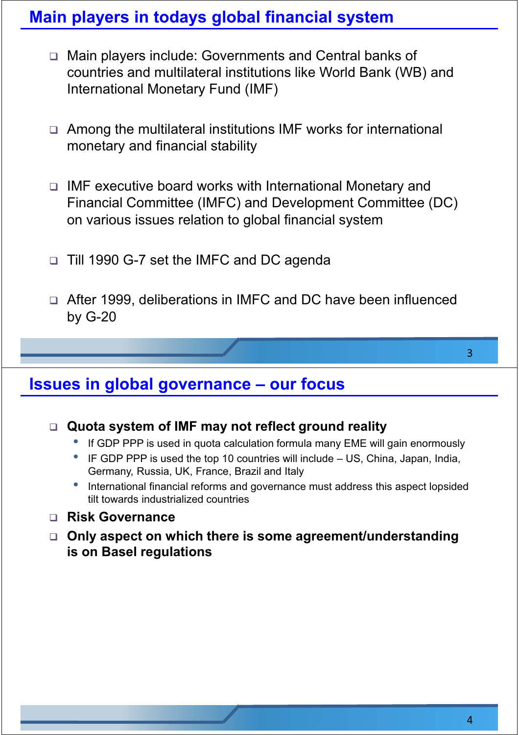#### **Main players in todays global financial system**

- Main players include: Governments and Central banks of countries and multilateral institutions like World Bank (WB) and International Monetary Fund (IMF)
- Among the multilateral institutions IMF works for international monetary and financial stability
- IMF executive board works with International Monetary and Financial Committee (IMFC) and Development Committee (DC) on various issues relation to global financial system
- □ Till 1990 G-7 set the IMFC and DC agenda
- After 1999, deliberations in IMFC and DC have been influenced by G-20

#### **Issues in global governance - our focus**

#### **Quota system of IMF may not reflect ground reality**

- If GDP PPP is used in quota calculation formula many EME will gain enormously
- $\bullet$  IF GDP PPP is used the top 10 countries will include  $-$  US, China, Japan, India, Germany, Russia, UK, France, Brazil and Italy
- International financial reforms and governance must address this aspect lopsided tilt towards industrialized countries

#### **Risk Governance**

 **Only aspect on which there is some agreement/understanding is on Basel regulations**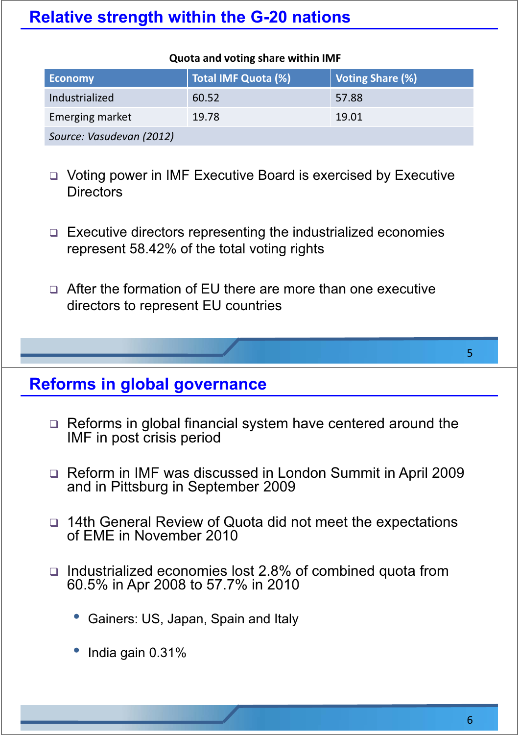### **Relative strength within the G-20 nations**

#### **Quota and voting share within IMF**

| <b>Economy</b>           | Total IMF Quota (%) | Voting Share (%) |
|--------------------------|---------------------|------------------|
| Industrialized           | 60.52               | 57.88            |
| Emerging market          | 19.78               | 19.01            |
| Source: Vasudevan (2012) |                     |                  |

□ Voting power in IMF Executive Board is exercised by Executive **Directors** 

- $\Box$  Executive directors representing the industrialized economies represent 58.42% of the total voting rights
- □ After the formation of EU there are more than one executive directors to represent EU countries

#### **Reforms in global governance**

- □ Reforms in global financial system have centered around the IMF in post crisis period
- □ Reform in IMF was discussed in London Summit in April 2009 and in Pittsburg in September 2009
- □ 14th General Review of Quota did not meet the expectations of EME in November 2010
- □ Industrialized economies lost 2.8% of combined quota from 60.5% in Apr 2008 to 57.7% in 2010
	- Gainers: US, Japan, Spain and Italy
	- India gain 0.31%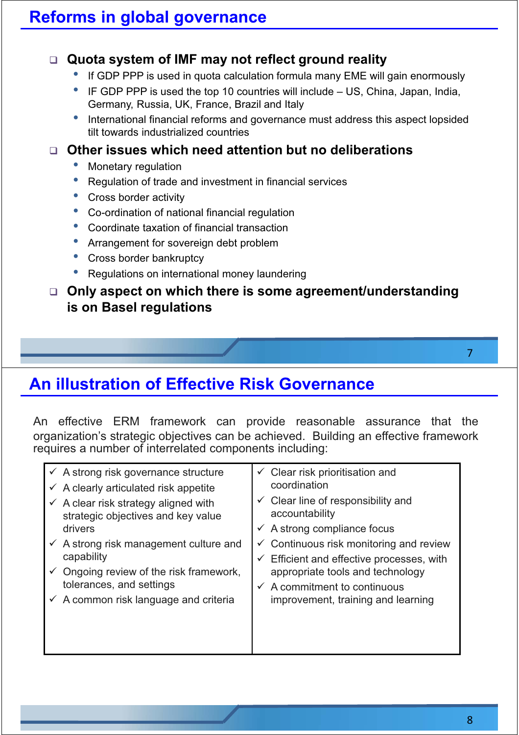#### **Quota system of IMF may not reflect ground reality**

- If GDP PPP is used in quota calculation formula many EME will gain enormously
- $\bullet$  IF GDP PPP is used the top 10 countries will include  $-$  US, China, Japan, India, Germany, Russia, UK, France, Brazil and Italy
- International financial reforms and governance must address this aspect lopsided tilt towards industrialized countries

#### **Other issues which need attention but no deliberations**

- Monetary regulation
- Regulation of trade and investment in financial services
- Cross border activity
- Co-ordination of national financial regulation
- Coordinate taxation of financial transaction
- Arrangement for sovereign debt problem
- Cross border bankruptcy
- Regulations on international money laundering

#### **Only aspect on which there is some agreement/understanding is on Basel regulations**

#### **An illustration of Effective Risk Governance**

An effective ERM framework can provide reasonable assurance that the organization's strategic objectives can be achieved. Building an effective framework requires a number of interrelated components including:

| $\checkmark$ A strong risk governance structure    | $\checkmark$ Clear risk prioritisation and         |
|----------------------------------------------------|----------------------------------------------------|
| $\checkmark$ A clearly articulated risk appetite   | coordination                                       |
| $\checkmark$ A clear risk strategy aligned with    | $\checkmark$ Clear line of responsibility and      |
| strategic objectives and key value                 | accountability                                     |
| drivers                                            | $\checkmark$ A strong compliance focus             |
| $\checkmark$ A strong risk management culture and  | $\checkmark$ Continuous risk monitoring and review |
| capability                                         | Efficient and effective processes, with            |
| $\checkmark$ Ongoing review of the risk framework, | appropriate tools and technology                   |
| tolerances, and settings                           | $\checkmark$ A commitment to continuous            |
| $\checkmark$ A common risk language and criteria   | improvement, training and learning                 |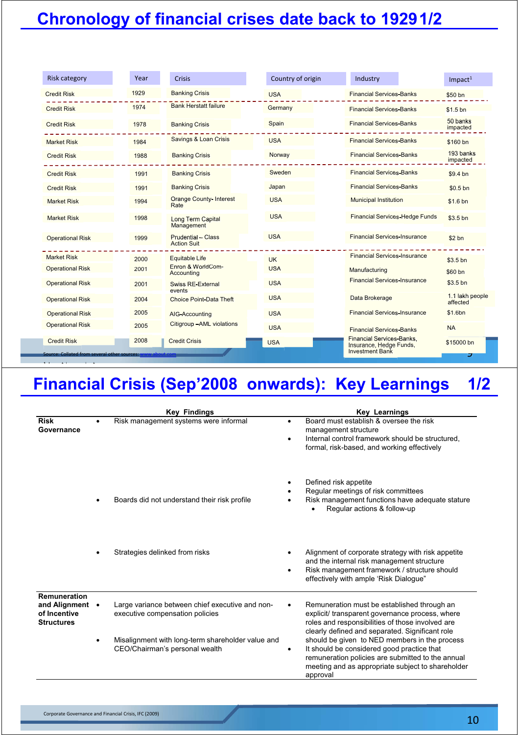## **Chronology of financial crises date back to 19291/2**

| <b>Risk category</b>                                             | Year | <b>Crisis</b>                                   | Country of origin | Industry                                                                              | $Im$ pact <sup>1</sup>      |
|------------------------------------------------------------------|------|-------------------------------------------------|-------------------|---------------------------------------------------------------------------------------|-----------------------------|
| <b>Credit Risk</b>                                               | 1929 | <b>Banking Crisis</b>                           | <b>USA</b>        | <b>Financial Services-Banks</b>                                                       | \$50 bn                     |
| <b>Credit Risk</b>                                               | 1974 | <b>Bank Herstatt failure</b>                    | Germany           | <b>Financial Services-Banks</b>                                                       | \$1.5 <sub>bn</sub>         |
| <b>Credit Risk</b>                                               | 1978 | <b>Banking Crisis</b>                           | Spain             | <b>Financial Services-Banks</b>                                                       | 50 banks<br>impacted        |
| <b>Market Risk</b>                                               | 1984 | Savings & Loan Crisis                           | <b>USA</b>        | <b>Financial Services-Banks</b>                                                       | \$160 bn                    |
| <b>Credit Risk</b>                                               | 1988 | <b>Banking Crisis</b>                           | Norway            | <b>Financial Services-Banks</b>                                                       | 193 banks<br>impacted       |
| <b>Credit Risk</b>                                               | 1991 | <b>Banking Crisis</b>                           | Sweden            | <b>Financial Services-Banks</b>                                                       | \$9.4 <sub>bn</sub>         |
| <b>Credit Risk</b>                                               | 1991 | <b>Banking Crisis</b>                           | Japan             | <b>Financial Services-Banks</b>                                                       | $$0.5$ <sub>bn</sub>        |
| <b>Market Risk</b>                                               | 1994 | <b>Orange County-Interest</b><br>Rate           | <b>USA</b>        | <b>Municipal Institution</b>                                                          | \$1.6 <sub>bn</sub>         |
| <b>Market Risk</b>                                               | 1998 | <b>Long Term Capital</b><br>Management          | <b>USA</b>        | <b>Financial Services-Hedge Funds</b>                                                 | \$3.5 bn                    |
| <b>Operational Risk</b>                                          | 1999 | <b>Prudential - Class</b><br><b>Action Suit</b> | <b>USA</b>        | <b>Financial Services-Insurance</b>                                                   | \$2 <sub>bn</sub>           |
| <b>Market Risk</b>                                               | 2000 | <b>Equitable Life</b>                           | <b>UK</b>         | <b>Financial Services-Insurance</b>                                                   | \$3.5 bn                    |
| <b>Operational Risk</b>                                          | 2001 | Enron & WorldCom-<br>Accounting                 | <b>USA</b>        | Manufacturing                                                                         | \$60 bn                     |
| <b>Operational Risk</b>                                          | 2001 | <b>Swiss RE-External</b><br>events              | <b>USA</b>        | <b>Financial Services-Insurance</b>                                                   | $$3.5$ bn                   |
| <b>Operational Risk</b>                                          | 2004 | Choice Point-Data Theft                         | <b>USA</b>        | Data Brokerage                                                                        | 1.1 lakh people<br>affected |
| <b>Operational Risk</b>                                          | 2005 | AIG-Accounting                                  | <b>USA</b>        | <b>Financial Services-Insurance</b>                                                   | \$1.6bn                     |
| <b>Operational Risk</b>                                          | 2005 | Citigroup - AML violations                      | <b>USA</b>        | <b>Financial Services-Banks</b>                                                       | <b>NA</b>                   |
| <b>Credit Risk</b><br>Source: Collated from several other source | 2008 | <b>Credit Crisis</b>                            | <b>USA</b>        | <b>Financial Services-Banks,</b><br>Insurance, Hedge Funds,<br><b>Investment Bank</b> | \$15000 bn<br>コ             |

## **Financial Crisis (Sep'2008 onwards): Key Learnings 1/2**

|                                                                    | <b>Key Findings</b>                                                                 | <b>Key Learnings</b>                                                                                                                                                                                                   |
|--------------------------------------------------------------------|-------------------------------------------------------------------------------------|------------------------------------------------------------------------------------------------------------------------------------------------------------------------------------------------------------------------|
| <b>Risk</b><br>Governance                                          | Risk management systems were informal                                               | Board must establish & oversee the risk<br>$\bullet$<br>management structure<br>Internal control framework should be structured,<br>$\bullet$<br>formal, risk-based, and working effectively                           |
|                                                                    | Boards did not understand their risk profile                                        | Defined risk appetite<br>٠<br>Regular meetings of risk committees<br>Risk management functions have adequate stature<br>Regular actions & follow-up                                                                    |
|                                                                    | Strategies delinked from risks                                                      | Alignment of corporate strategy with risk appetite<br>and the internal risk management structure<br>Risk management framework / structure should<br>$\bullet$<br>effectively with ample 'Risk Dialoque"                |
| Remuneration<br>and Alignment<br>of Incentive<br><b>Structures</b> | Large variance between chief executive and non-<br>executive compensation policies  | Remuneration must be established through an<br>explicit/ transparent governance process, where<br>roles and responsibilities of those involved are<br>clearly defined and separated. Significant role                  |
|                                                                    | Misalignment with long-term shareholder value and<br>CEO/Chairman's personal wealth | should be given to NED members in the process<br>It should be considered good practice that<br>٠<br>remuneration policies are submitted to the annual<br>meeting and as appropriate subject to shareholder<br>approval |

1I ti i t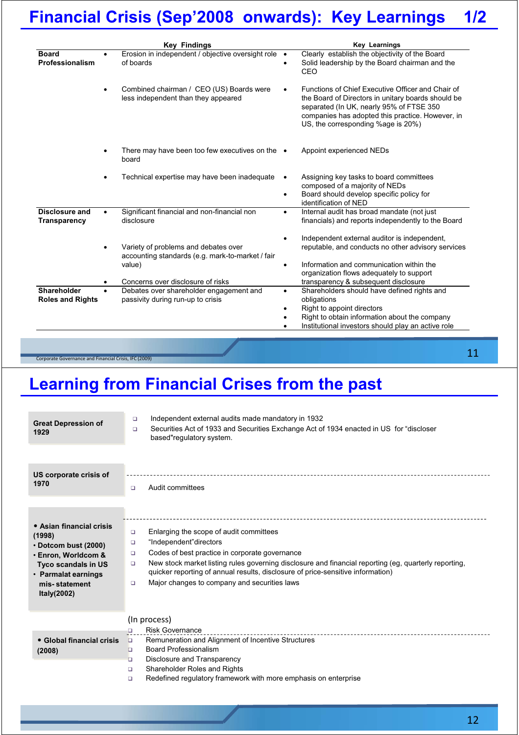## **Financial Crisis (Sep'2008 onwards): Key Learnings 1/2**

| Erosion in independent / objective oversight role .<br>of boards<br>Combined chairman / CEO (US) Boards were<br>less independent than they appeared<br>There may have been too few executives on the $\bullet$<br>board<br>Technical expertise may have been inadequate | Clearly establish the objectivity of the Board<br>Solid leadership by the Board chairman and the<br>CEO<br>Functions of Chief Executive Officer and Chair of<br>the Board of Directors in unitary boards should be<br>separated (In UK, nearly 95% of FTSE 350<br>companies has adopted this practice. However, in<br>US, the corresponding %age is 20%)<br>Appoint experienced NEDs<br>Assigning key tasks to board committees<br>composed of a majority of NEDs<br>Board should develop specific policy for<br>$\bullet$ |
|-------------------------------------------------------------------------------------------------------------------------------------------------------------------------------------------------------------------------------------------------------------------------|----------------------------------------------------------------------------------------------------------------------------------------------------------------------------------------------------------------------------------------------------------------------------------------------------------------------------------------------------------------------------------------------------------------------------------------------------------------------------------------------------------------------------|
|                                                                                                                                                                                                                                                                         |                                                                                                                                                                                                                                                                                                                                                                                                                                                                                                                            |
|                                                                                                                                                                                                                                                                         |                                                                                                                                                                                                                                                                                                                                                                                                                                                                                                                            |
|                                                                                                                                                                                                                                                                         |                                                                                                                                                                                                                                                                                                                                                                                                                                                                                                                            |
|                                                                                                                                                                                                                                                                         | identification of NED                                                                                                                                                                                                                                                                                                                                                                                                                                                                                                      |
| Significant financial and non-financial non<br>disclosure                                                                                                                                                                                                               | Internal audit has broad mandate (not just<br>$\bullet$<br>financials) and reports independently to the Board                                                                                                                                                                                                                                                                                                                                                                                                              |
| Variety of problems and debates over<br>accounting standards (e.g. mark-to-market / fair<br>value)<br>Concerns over disclosure of risks                                                                                                                                 | Independent external auditor is independent,<br>reputable, and conducts no other advisory services<br>Information and communication within the<br>organization flows adequately to support<br>transparency & subsequent disclosure                                                                                                                                                                                                                                                                                         |
| Debates over shareholder engagement and<br>passivity during run-up to crisis                                                                                                                                                                                            | Shareholders should have defined rights and<br>$\bullet$<br>obligations<br>Right to appoint directors<br>$\bullet$<br>Right to obtain information about the company<br>Institutional investors should play an active role                                                                                                                                                                                                                                                                                                  |
|                                                                                                                                                                                                                                                                         |                                                                                                                                                                                                                                                                                                                                                                                                                                                                                                                            |

## **Learning from Financial Crises from the past**

| <b>Great Depression of</b><br>1929                                                                                                                                           | Independent external audits made mandatory in 1932<br>$\Box$<br>Securities Act of 1933 and Securities Exchange Act of 1934 enacted in US for "discloser<br>$\Box$<br>based"requlatory system.                                                                                                                                                                                                 |
|------------------------------------------------------------------------------------------------------------------------------------------------------------------------------|-----------------------------------------------------------------------------------------------------------------------------------------------------------------------------------------------------------------------------------------------------------------------------------------------------------------------------------------------------------------------------------------------|
| US corporate crisis of<br>1970                                                                                                                                               | Audit committees<br>$\Box$                                                                                                                                                                                                                                                                                                                                                                    |
| • Asian financial crisis<br>(1998)<br>$\cdot$ Dotcom bust (2000)<br>• Enron, Worldcom &<br><b>Tyco scandals in US</b><br>• Parmalat earnings<br>mis-statement<br>Italy(2002) | Enlarging the scope of audit committees<br>o<br>"Independent"directors<br>o<br>Codes of best practice in corporate governance<br>o<br>New stock market listing rules governing disclosure and financial reporting (eg, quarterly reporting,<br>o<br>quicker reporting of annual results, disclosure of price-sensitive information)<br>Major changes to company and securities laws<br>$\Box$ |
| • Global financial crisis<br>(2008)                                                                                                                                          | (In process)<br><b>Risk Governance</b><br>о<br>Remuneration and Alignment of Incentive Structures<br>$\Box$<br><b>Board Professionalism</b><br>o                                                                                                                                                                                                                                              |
|                                                                                                                                                                              | Disclosure and Transparency<br>o<br>Shareholder Roles and Rights<br>▫<br>Redefined regulatory framework with more emphasis on enterprise<br>$\Box$                                                                                                                                                                                                                                            |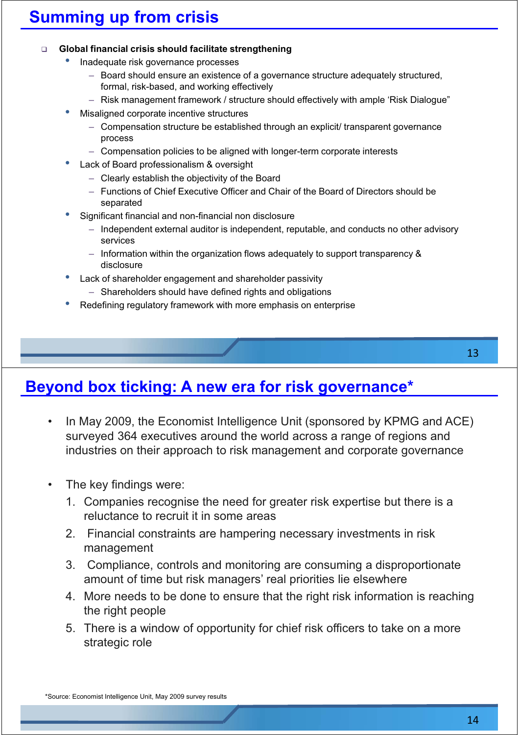## **Summing up from crisis**

#### **Global financial crisis should facilitate strengthening**

- Inadequate risk governance processes
	- $-$  Board should ensure an existence of a governance structure adequately structured, formal, risk-based, and working effectively
	- Risk management framework / structure should effectively with ample 'Risk Dialogue"
- Misaligned corporate incentive structures
	- $-$  Compensation structure be established through an explicit/ transparent governance process
	- Compensation policies to be aligned with longer-term corporate interests
- Lack of Board professionalism & oversight
	- $-$  Clearly establish the objectivity of the Board
	- Functions of Chief Executive Officer and Chair of the Board of Directors should be separated
- Significant financial and non-financial non disclosure
	- $-$  Independent external auditor is independent, reputable, and conducts no other advisory services
	- $-$  Information within the organization flows adequately to support transparency & disclosure
- Lack of shareholder engagement and shareholder passivity
	- $-$  Shareholders should have defined rights and obligations
- Redefining regulatory framework with more emphasis on enterprise

13

#### **Beyond box ticking: A new era for risk governance\***

- In May 2009, the Economist Intelligence Unit (sponsored by KPMG and ACE) surveyed 364 executives around the world across a range of regions and industries on their approach to risk management and corporate governance
- The key findings were:
	- 1. Companies recognise the need for greater risk expertise but there is a reluctance to recruit it in some areas
	- 2. Financial constraints are hampering necessary investments in risk management
	- 3. Compliance, controls and monitoring are consuming a disproportionate amount of time but risk managers' real priorities lie elsewhere
	- 4. More needs to be done to ensure that the right risk information is reaching the right people
	- 5. There is a window of opportunity for chief risk officers to take on a more strategic role

\*Source: Economist Intelligence Unit, May 2009 survey results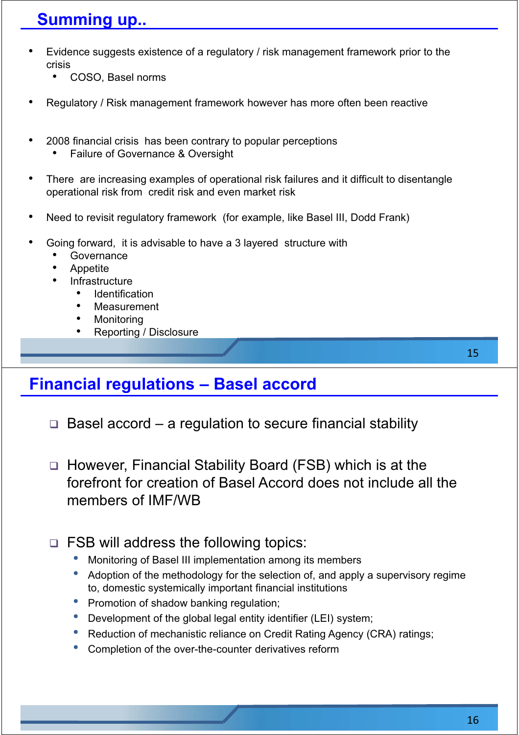## **Summing up..**

- Evidence suggests existence of a regulatory / risk management framework prior to the crisis
	- COSO, Basel norms
- Regulatory / Risk management framework however has more often been reactive
- 2008 financial crisis has been contrary to popular perceptions
	- Failure of Governance & Oversight
- There are increasing examples of operational risk failures and it difficult to disentangle operational risk from credit risk and even market risk
- Need to revisit regulatory framework (for example, like Basel III, Dodd Frank)
- Going forward, it is advisable to have a 3 layered structure with
	- **Governance**
	- Appetite
	- Infrastructure
		- **Identification**
		- Measurement
		- **Monitoring**
		- Reporting / Disclosure

#### **Financial regulations - Basel accord**

- $\Box$  Basel accord a regulation to secure financial stability
- □ However, Financial Stability Board (FSB) which is at the forefront for creation of Basel Accord does not include all the members of IMF/WB
- □ FSB will address the following topics:
	- Monitoring of Basel III implementation among its members
	- Adoption of the methodology for the selection of, and apply a supervisory regime to, domestic systemically important financial institutions
	- Promotion of shadow banking regulation;
	- Development of the global legal entity identifier (LEI) system;
	- Reduction of mechanistic reliance on Credit Rating Agency (CRA) ratings;
	- Completion of the over-the-counter derivatives reform

15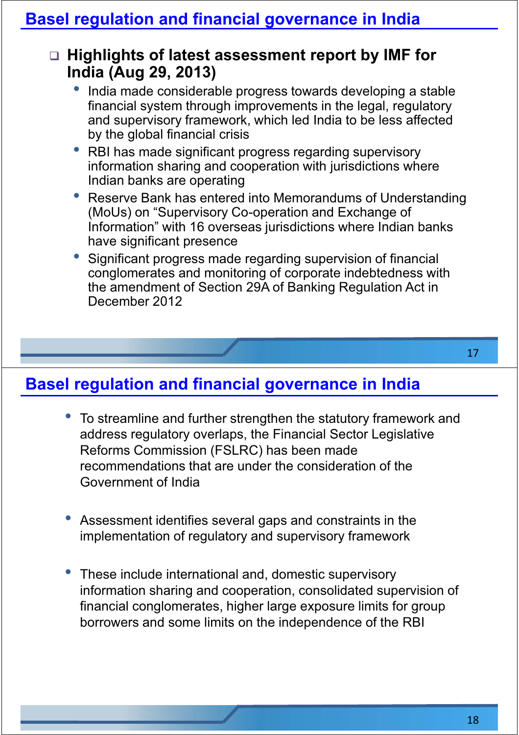#### □ Highlights of latest assessment report by IMF for **India (Aug 29, 2013)**

- India made considerable progress towards developing a stable financial system through improvements in the legal, regulatory and supervisory framework, which led India to be less affected by the global financial crisis
- RBI has made significant progress regarding supervisory information sharing and cooperation with jurisdictions where Indian banks are operating
- Reserve Bank has entered into Memorandums of Understanding (MoUs) on "Supervisory Co-operation and Exchange of Information" with 16 overseas jurisdictions where Indian banks have significant presence
- Significant progress made regarding supervision of financial conglomerates and monitoring of corporate indebtedness with the amendment of Section 29A of Banking Regulation Act in December 2012

- To streamline and further strengthen the statutory framework and address regulatory overlaps, the Financial Sector Legislative Reforms Commission (FSLRC) has been made recommendations that are under the consideration of the Government of India
- Assessment identifies several gaps and constraints in the implementation of regulatory and supervisory framework
- These include international and, domestic supervisory information sharing and cooperation, consolidated supervision of financial conglomerates, higher large exposure limits for group borrowers and some limits on the independence of the RBI

17